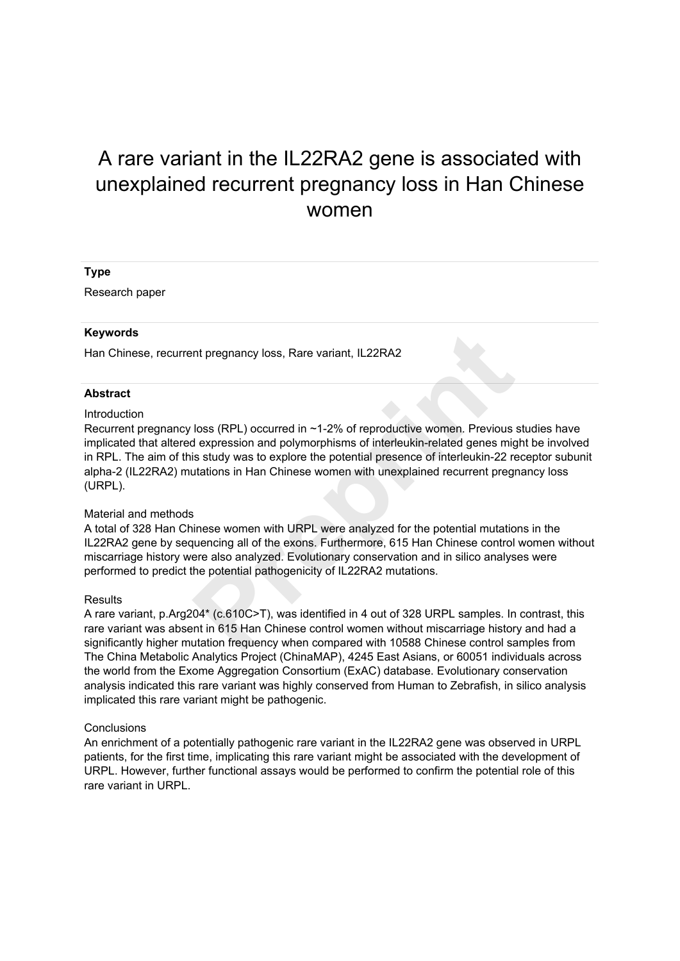# A rare variant in the IL22RA2 gene is associated with unexplained recurrent pregnancy loss in Han Chinese women

## **Type**

Research paper

### **Keywords**

Han Chinese, recurrent pregnancy loss, Rare variant, IL22RA2

### **Abstract**

### Introduction

Recurrent pregnancy loss (RPL) occurred in ~1-2% of reproductive women. Previous studies have implicated that altered expression and polymorphisms of interleukin-related genes might be involved in RPL. The aim of this study was to explore the potential presence of interleukin-22 receptor subunit alpha-2 (IL22RA2) mutations in Han Chinese women with unexplained recurrent pregnancy loss (URPL). Interprenancy loss, Rare variant, IL22RA2<br>
Ioss (RPL) occurred in ~1-2% of reproductive women. Previous<br>
dexpression and polymorphisms of interleukin-related genes mig<br>
is study was to explore the potential presence of int

### Material and methods

A total of 328 Han Chinese women with URPL were analyzed for the potential mutations in the IL22RA2 gene by sequencing all of the exons. Furthermore, 615 Han Chinese control women without miscarriage history were also analyzed. Evolutionary conservation and in silico analyses were performed to predict the potential pathogenicity of IL22RA2 mutations.

### **Results**

A rare variant, p.Arg204\* (c.610C>T), was identified in 4 out of 328 URPL samples. In contrast, this rare variant was absent in 615 Han Chinese control women without miscarriage history and had a significantly higher mutation frequency when compared with 10588 Chinese control samples from The China Metabolic Analytics Project (ChinaMAP), 4245 East Asians, or 60051 individuals across the world from the Exome Aggregation Consortium (ExAC) database. Evolutionary conservation analysis indicated this rare variant was highly conserved from Human to Zebrafish, in silico analysis implicated this rare variant might be pathogenic.

### **Conclusions**

An enrichment of a potentially pathogenic rare variant in the IL22RA2 gene was observed in URPL patients, for the first time, implicating this rare variant might be associated with the development of URPL. However, further functional assays would be performed to confirm the potential role of this rare variant in URPL.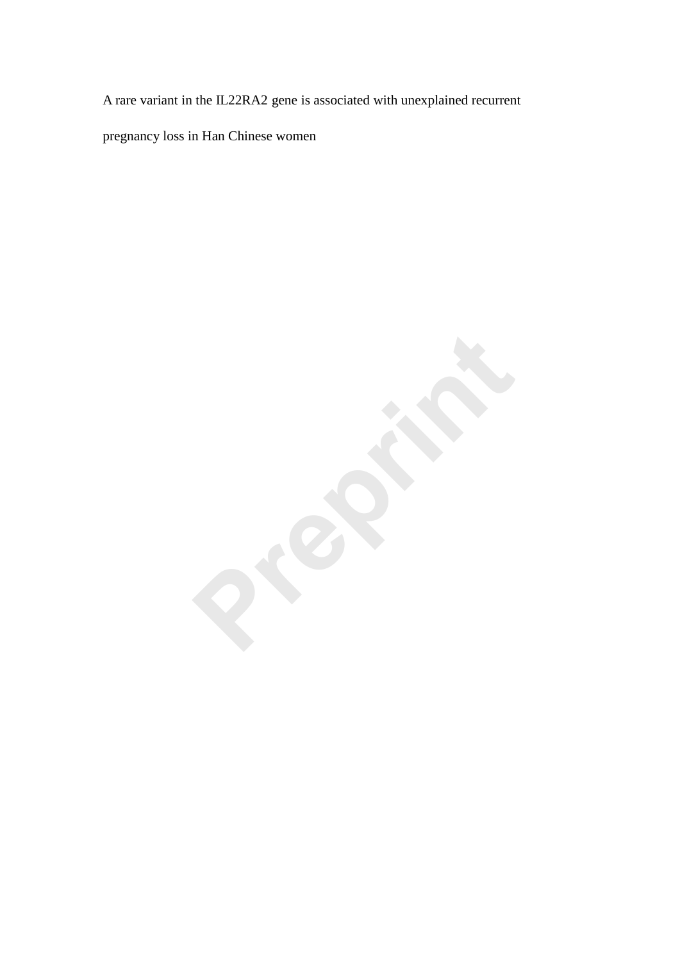A rare variant in the IL22RA2 gene is associated with unexplained recurrent

pregnancy loss in Han Chinese women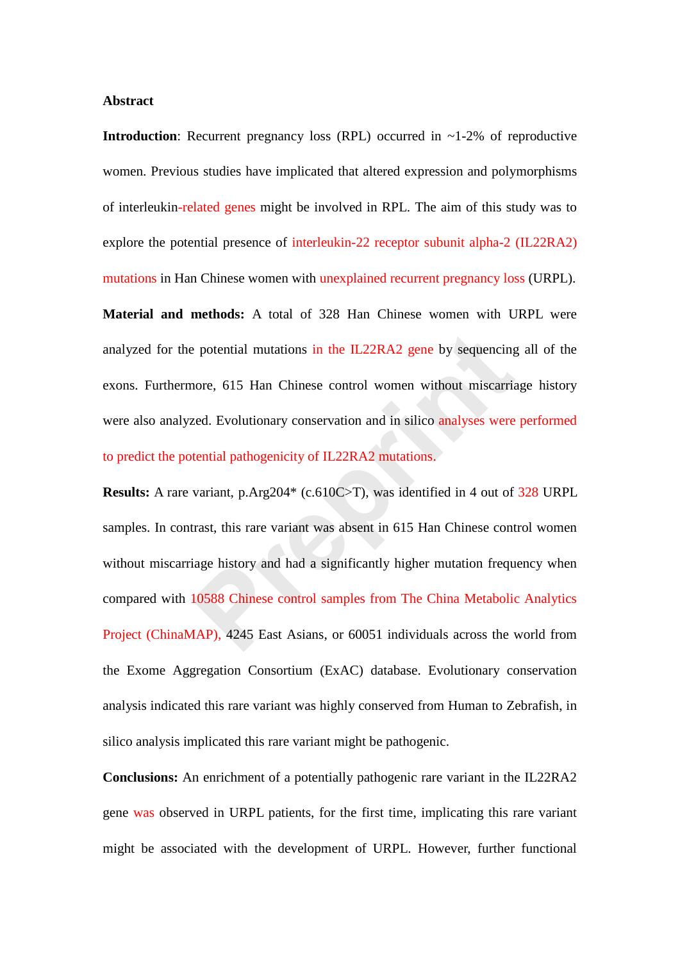## **Abstract**

**Introduction**: Recurrent pregnancy loss (RPL) occurred in ~1-2% of reproductive women. Previous studies have implicated that altered expression and polymorphisms of interleukin-related genes might be involved in RPL. The aim of this study was to explore the potential presence of interleukin-22 receptor subunit alpha-2 (IL22RA2) mutations in Han Chinese women with unexplained recurrent pregnancy loss (URPL). **Material and methods:** A total of 328 Han Chinese women with URPL were analyzed for the potential mutations in the IL22RA2 gene by sequencing all of the exons. Furthermore, 615 Han Chinese control women without miscarriage history were also analyzed. Evolutionary conservation and in silico analyses were performed to predict the potential pathogenicity of IL22RA2 mutations.

**Results:** A rare variant, p.Arg204\* (c.610C>T), was identified in 4 out of 328 URPL samples. In contrast, this rare variant was absent in 615 Han Chinese control women without miscarriage history and had a significantly higher mutation frequency when compared with 10588 Chinese control samples from The China Metabolic Analytics Project (ChinaMAP), 4245 East Asians, or 60051 individuals across the world from the Exome Aggregation Consortium (ExAC) database. Evolutionary conservation analysis indicated this rare variant was highly conserved from Human to Zebrafish, in silico analysis implicated this rare variant might be pathogenic. e potential mutations in the IL22RA2 gene by sequencing<br>nore, 615 Han Chinese control women without miscarria<br>zed. Evolutionary conservation and in silico analyses were<br>tential pathogenicity of IL22RA2 mutations.<br>variant,

**Conclusions:** An enrichment of a potentially pathogenic rare variant in the IL22RA2 gene was observed in URPL patients, for the first time, implicating this rare variant might be associated with the development of URPL. However, further functional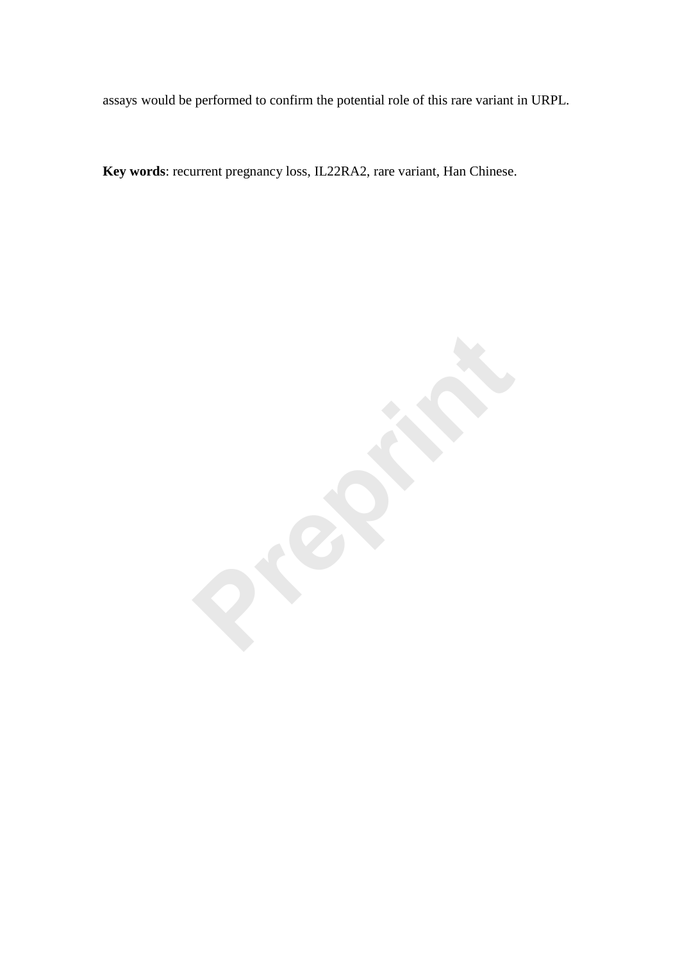assays would be performed to confirm the potential role of this rare variant in URPL.

**Key words**: recurrent pregnancy loss, IL22RA2, rare variant, Han Chinese.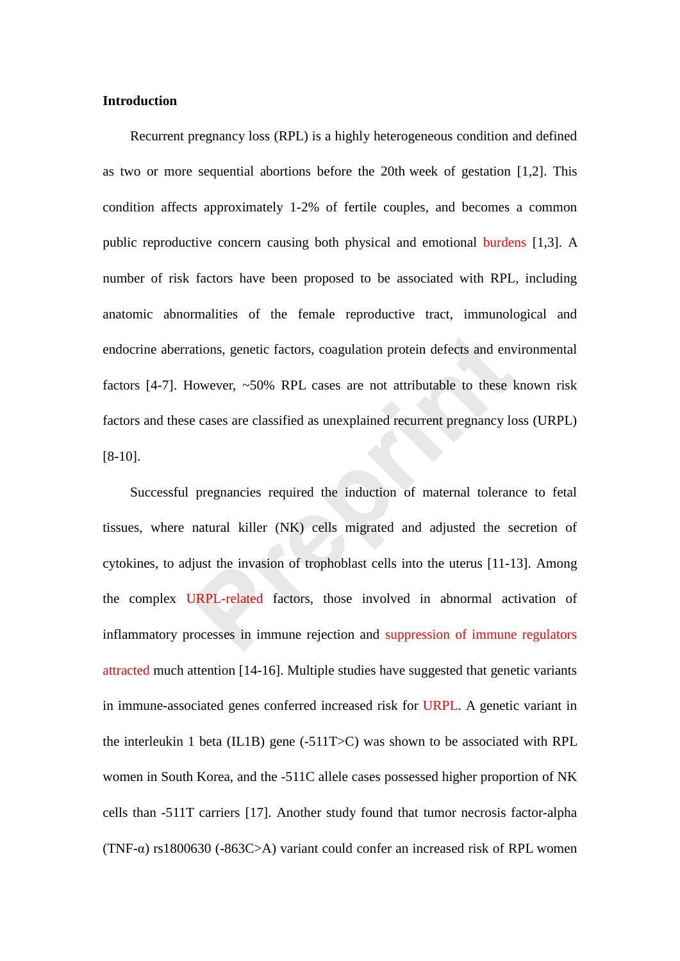# **Introduction**

Recurrent pregnancy loss (RPL) is a highly heterogeneous condition and defined as two or more sequential abortions before the 20th week of gestation [1,2]. This condition affects approximately 1-2% of fertile couples, and becomes a common public reproductive concern causing both physical and emotional burdens [1,3]. A number of risk factors have been proposed to be associated with RPL, including anatomic abnormalities of the female reproductive tract, immunological and endocrine aberrations, genetic factors, coagulation protein defects and environmental factors [4-7]. However, ~50% RPL cases are not attributable to these known risk factors and these cases are classified as unexplained recurrent pregnancy loss (URPL) [8-10].

Successful pregnancies required the induction of maternal tolerance to fetal tissues, where natural killer (NK) cells migrated and adjusted the secretion of cytokines, to adjust the invasion of trophoblast cells into the uterus [11-13]. Among the complex URPL-related factors, those involved in abnormal activation of inflammatory processes in immune rejection and suppression of immune regulators attracted much attention [14-16]. Multiple studies have suggested that genetic variants in immune-associated genes conferred increased risk for URPL. A genetic variant in the interleukin 1 beta (IL1B) gene (-511T>C) was shown to be associated with RPL women in South Korea, and the -511C allele cases possessed higher proportion of NK cells than -511T carriers [17]. Another study found that tumor necrosis factor-alpha (TNF- $\alpha$ ) rs1800630 (-863C>A) variant could confer an increased risk of RPL women ations, genetic factors, coagulation protein defects and env<br>
flowever, ~50% RPL cases are not attributable to these k<br>
e cases are classified as unexplained recurrent pregnancy lo<br>
pregnancies required the induction of ma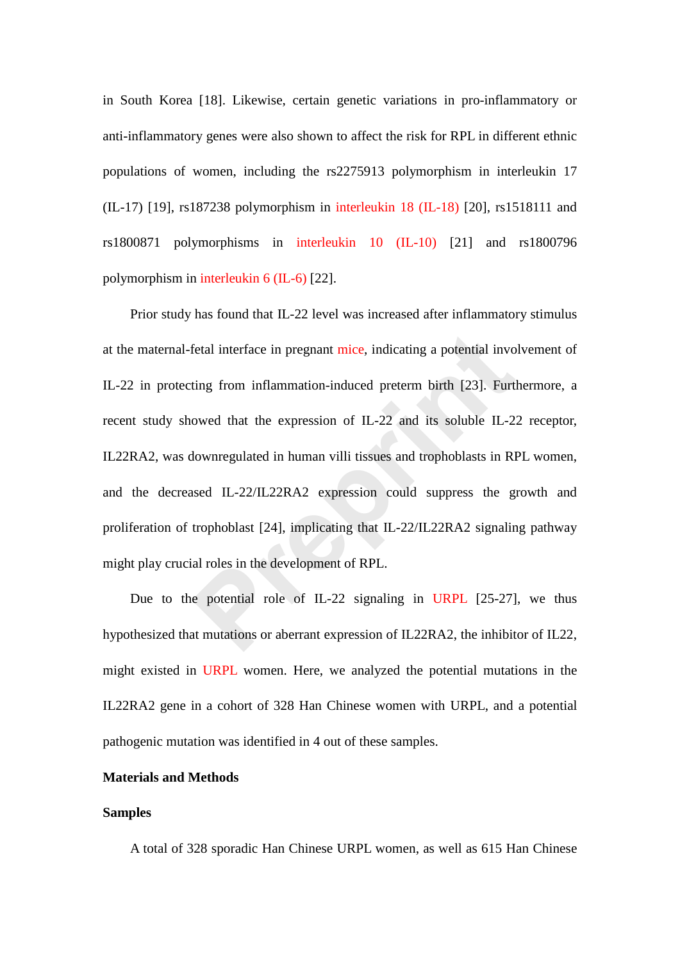in South Korea [18]. Likewise, certain genetic variations in pro-inflammatory or anti-inflammatory genes were also shown to affect the risk for RPL in different ethnic populations of women, including the rs2275913 polymorphism in interleukin 17 (IL-17) [19], rs187238 polymorphism in interleukin 18 (IL-18) [20], rs1518111 and rs1800871 polymorphisms in interleukin 10 (IL-10) [21] and rs1800796 polymorphism in interleukin 6 (IL-6) [22].

Prior study has found that IL-22 level was increased after inflammatory stimulus at the maternal-fetal interface in pregnant mice, indicating a potential involvement of IL-22 in protecting from inflammation-induced preterm birth [23]. Furthermore, a recent study showed that the expression of IL-22 and its soluble IL-22 receptor, IL22RA2, was downregulated in human villi tissues and trophoblasts in RPL women, and the decreased IL-22/IL22RA2 expression could suppress the growth and proliferation of trophoblast [24], implicating that IL-22/IL22RA2 signaling pathway might play crucial roles in the development of RPL. fetal interface in pregnant mice, indicating a potential invo<br>ting from inflammation-induced preterm birth [23]. Furt<br>owed that the expression of IL-22 and its soluble IL-2<br>downregulated in human villi tissues and trophobl

Due to the potential role of IL-22 signaling in URPL [25-27], we thus hypothesized that mutations or aberrant expression of IL22RA2, the inhibitor of IL22, might existed in URPL women. Here, we analyzed the potential mutations in the IL22RA2 gene in a cohort of 328 Han Chinese women with URPL, and a potential pathogenic mutation was identified in 4 out of these samples.

# **Materials and Methods**

## **Samples**

A total of 328 sporadic Han Chinese URPL women, as well as 615 Han Chinese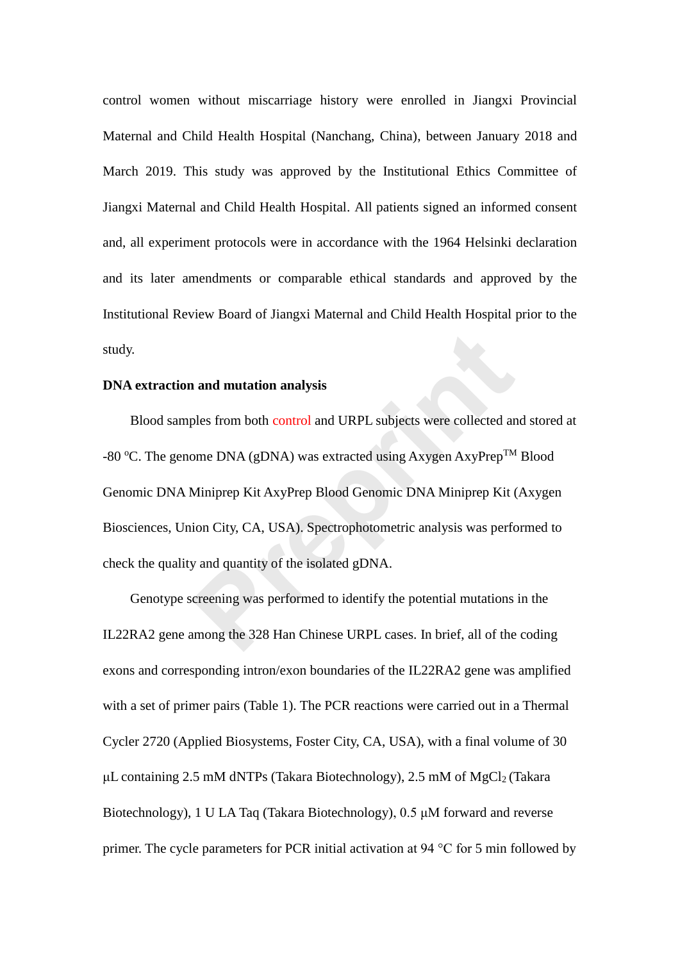control women without miscarriage history were enrolled in Jiangxi Provincial Maternal and Child Health Hospital (Nanchang, China), between January 2018 and March 2019. This study was approved by the Institutional Ethics Committee of Jiangxi Maternal and Child Health Hospital. All patients signed an informed consent and, all experiment protocols were in accordance with the 1964 Helsinki declaration and its later amendments or comparable ethical standards and approved by the Institutional Review Board of Jiangxi Maternal and Child Health Hospital prior to the study.

# **DNA extraction and mutation analysis**

Blood samples from both control and URPL subjects were collected and stored at -80 °C. The genome DNA (gDNA) was extracted using Axygen AxyPrep<sup>TM</sup> Blood Genomic DNA Miniprep Kit AxyPrep Blood Genomic DNA Miniprep Kit (Axygen Biosciences, Union City, CA, USA). Spectrophotometric analysis was performed to check the quality and quantity of the isolated gDNA. **and mutation analysis**<br>ples from both control and URPL subjects were collected are<br>men DNA (gDNA) was extracted using Axygen AxyPrep<sup>TM</sup><br>Miniprep Kit AxyPrep Blood Genomic DNA Miniprep Kit (<br>ion City, CA, USA). Spectropho

Genotype screening was performed to identify the potential mutations in the IL22RA2 gene among the 328 Han Chinese URPL cases. In brief, all of the coding exons and corresponding intron/exon boundaries of the IL22RA2 gene was amplified with a set of primer pairs (Table 1). The PCR reactions were carried out in a Thermal Cycler 2720 (Applied Biosystems, Foster City, CA, USA), with a final volume of 30 μL containing 2.5 mM dNTPs (Takara Biotechnology), 2.5 mM of MgCl<sub>2</sub> (Takara Biotechnology), 1 U LA Taq (Takara Biotechnology), 0.5 μM forward and reverse primer. The cycle parameters for PCR initial activation at 94 °C for 5 min followed by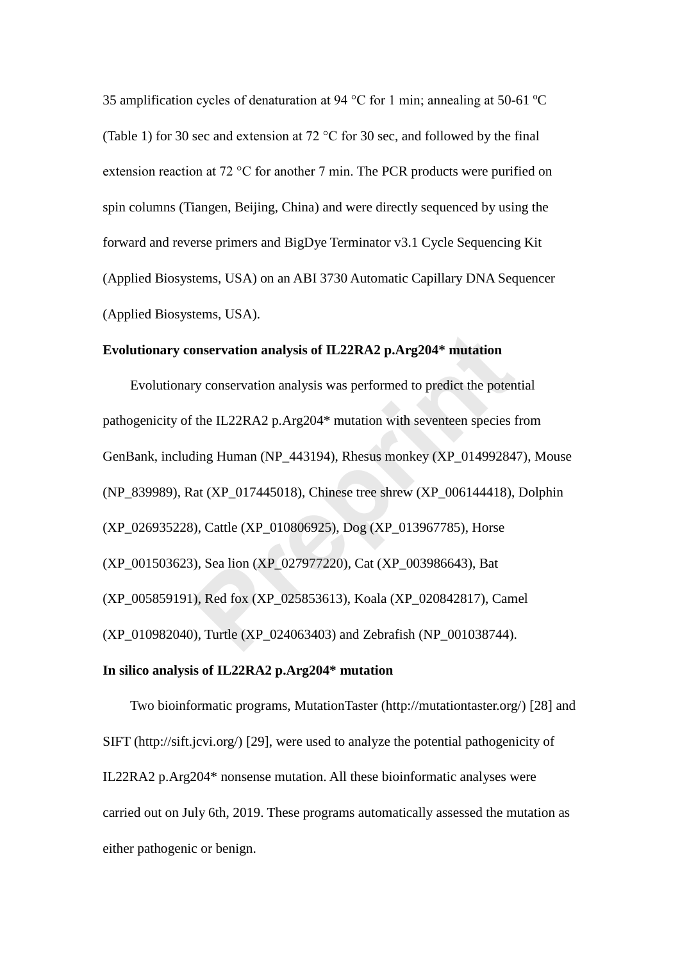35 amplification cycles of denaturation at 94 °C for 1 min; annealing at 50-61 °C (Table 1) for 30 sec and extension at 72 °C for 30 sec, and followed by the final extension reaction at 72 °C for another 7 min. The PCR products were purified on spin columns (Tiangen, Beijing, China) and were directly sequenced by using the forward and reverse primers and BigDye Terminator v3.1 Cycle Sequencing Kit (Applied Biosystems, USA) on an ABI 3730 Automatic Capillary DNA Sequencer (Applied Biosystems, USA).

## **Evolutionary conservation analysis of IL22RA2 p.Arg204\* mutation**

Evolutionary conservation analysis was performed to predict the potential pathogenicity of the IL22RA2 p.Arg204\* mutation with seventeen species from GenBank, including Human (NP\_443194), Rhesus monkey (XP\_014992847), Mouse (NP\_839989), Rat (XP\_017445018), Chinese tree shrew (XP\_006144418), Dolphin (XP\_026935228), Cattle (XP\_010806925), Dog (XP\_013967785), Horse (XP\_001503623), Sea lion (XP\_027977220), Cat (XP\_003986643), Bat (XP\_005859191), Red fox (XP\_025853613), Koala (XP\_020842817), Camel (XP\_010982040), Turtle (XP\_024063403) and Zebrafish (NP\_001038744). onservation analysis of IL22RA2 p.Arg204\* mutation<br>ry conservation analysis was performed to predict the poten<br>ing Human (NP\_443194), Rhesus monkey (XP\_01499284<br>dat (XP\_017445018), Chinese tree shrew (XP\_006144418),<br>9), Ca

# **In silico analysis of IL22RA2 p.Arg204\* mutation**

Two bioinformatic programs, MutationTaster (http://mutationtaster.org/) [28] and SIFT (http://sift.jcvi.org/) [29], were used to analyze the potential pathogenicity of IL22RA2 p.Arg204\* nonsense mutation. All these bioinformatic analyses were carried out on July 6th, 2019. These programs automatically assessed the mutation as either pathogenic or benign.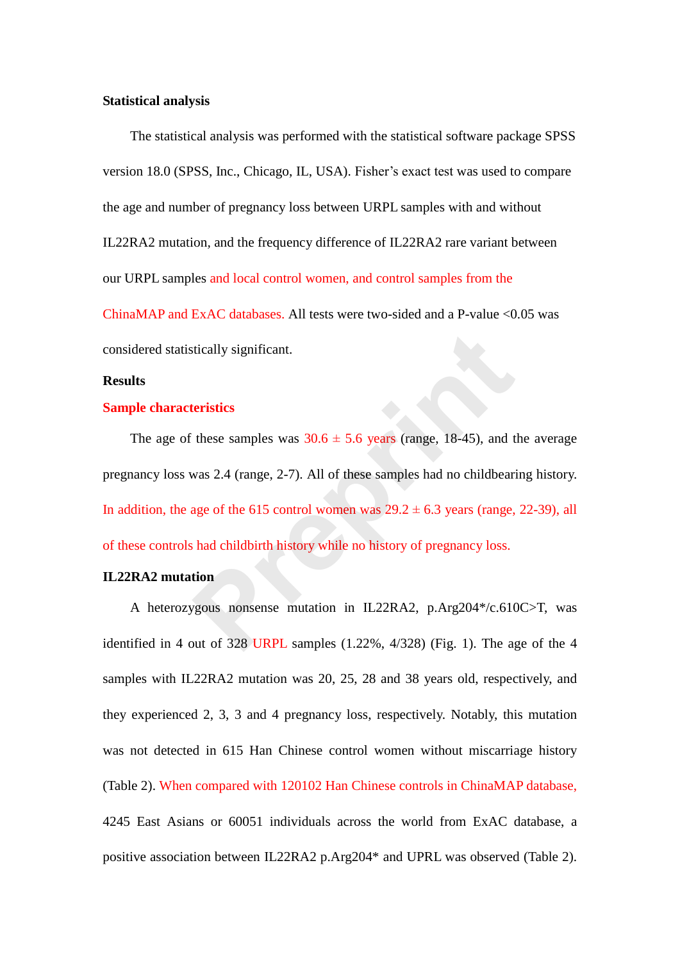## **Statistical analysis**

The statistical analysis was performed with the statistical software package SPSS version 18.0 (SPSS, Inc., Chicago, IL, USA). Fisher's exact test was used to compare the age and number of pregnancy loss between URPL samples with and without IL22RA2 mutation*,* and the frequency difference of IL22RA2 rare variant between our URPL samples and local control women, and control samples from the

ChinaMAP and ExAC databases. All tests were two-sided and a P-value <0.05 was considered statistically significant.

## **Results**

## **Sample characteristics**

The age of these samples was  $30.6 \pm 5.6$  years (range, 18-45), and the average pregnancy loss was 2.4 (range, 2-7). All of these samples had no childbearing history. In addition, the age of the 615 control women was  $29.2 \pm 6.3$  years (range, 22-39), all of these controls had childbirth history while no history of pregnancy loss. is trianaged in the samples was  $30.6 \pm 5.6$  years (range, 18-45), and the vas 2.4 (range, 2-7). All of these samples had no childbeariage of the 615 control women was  $29.2 \pm 6.3$  years (range, shad childbirth history wh

## **IL22RA2 mutation**

A heterozygous nonsense mutation in IL22RA2, p.Arg204\*/c.610C>T, was identified in 4 out of 328 URPL samples (1.22%, 4/328) (Fig. 1). The age of the 4 samples with IL22RA2 mutation was 20, 25, 28 and 38 years old, respectively, and they experienced 2, 3, 3 and 4 pregnancy loss, respectively. Notably, this mutation was not detected in 615 Han Chinese control women without miscarriage history (Table 2). When compared with 120102 Han Chinese controls in ChinaMAP database, 4245 East Asians or 60051 individuals across the world from ExAC database, a positive association between IL22RA2 p.Arg204\* and UPRL was observed (Table 2).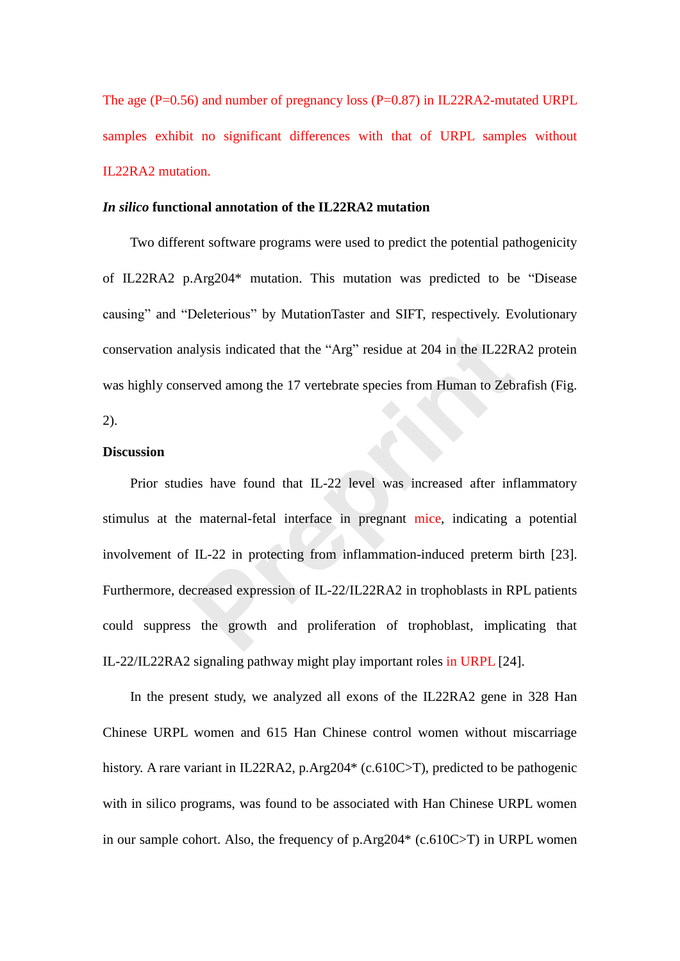The age (P=0.56) and number of pregnancy loss (P=0.87) in IL22RA2-mutated URPL samples exhibit no significant differences with that of URPL samples without IL22RA2 mutation.

# *In silico* **functional annotation of the IL22RA2 mutation**

Two different software programs were used to predict the potential pathogenicity of IL22RA2 p.Arg204\* mutation. This mutation was predicted to be "Disease causing" and "Deleterious" by MutationTaster and SIFT, respectively. Evolutionary conservation analysis indicated that the "Arg" residue at 204 in the IL22RA2 protein was highly conserved among the 17 vertebrate species from Human to Zebrafish (Fig. 2).

## **Discussion**

Prior studies have found that IL-22 level was increased after inflammatory stimulus at the maternal-fetal interface in pregnant mice, indicating a potential involvement of IL-22 in protecting from inflammation-induced preterm birth [23]. Furthermore, decreased expression of IL-22/IL22RA2 in trophoblasts in RPL patients could suppress the growth and proliferation of trophoblast, implicating that IL-22/IL22RA2 signaling pathway might play important roles in URPL [24]. alysis indicated that the "Arg" residue at 204 in the IL22R<br>erved among the 17 vertebrate species from Human to Zeb<br>es have found that IL-22 level was increased after inf<br>maternal-fetal interface in pregnant mice, indicati

In the present study, we analyzed all exons of the IL22RA2 gene in 328 Han Chinese URPL women and 615 Han Chinese control women without miscarriage history. A rare variant in IL22RA2, p.Arg204\* (c.610C>T), predicted to be pathogenic with in silico programs, was found to be associated with Han Chinese URPL women in our sample cohort. Also, the frequency of p.Arg204\* (c.610C>T) in URPL women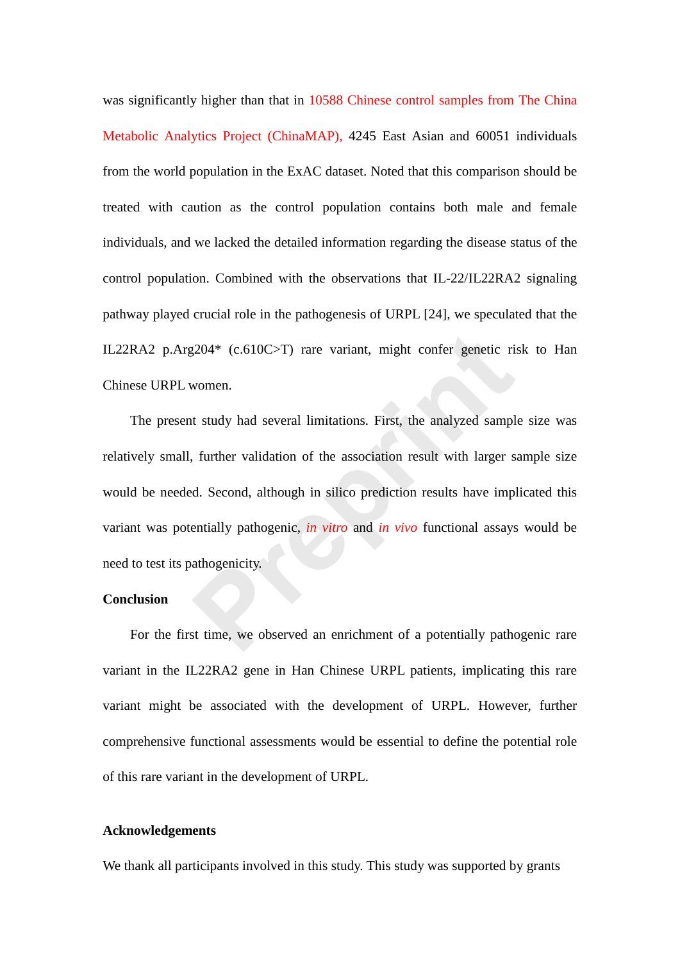was significantly higher than that in 10588 Chinese control samples from The China Metabolic Analytics Project (ChinaMAP), 4245 East Asian and 60051 individuals from the world population in the ExAC dataset. Noted that this comparison should be treated with caution as the control population contains both male and female individuals, and we lacked the detailed information regarding the disease status of the control population. Combined with the observations that IL-22/IL22RA2 signaling pathway played crucial role in the pathogenesis of URPL [24], we speculated that the IL22RA2 p.Arg204\* (c.610C>T) rare variant, might confer genetic risk to Han Chinese URPL women.

The present study had several limitations. First, the analyzed sample size was relatively small, further validation of the association result with larger sample size would be needed. Second, although in silico prediction results have implicated this variant was potentially pathogenic, *in vitro* and *in vivo* functional assays would be need to test its pathogenicity. 200<sup>\*</sup> (c.610C>T) rare variant, might confer genetic riply<br>women.<br>to study had several limitations. First, the analyzed samplet that study had several limitations. First, the analyzed samplet further validation of the asso

## **Conclusion**

For the first time, we observed an enrichment of a potentially pathogenic rare variant in the IL22RA2 gene in Han Chinese URPL patients, implicating this rare variant might be associated with the development of URPL. However, further comprehensive functional assessments would be essential to define the potential role of this rare variant in the development of URPL.

## **Acknowledgements**

We thank all participants involved in this study. This study was supported by grants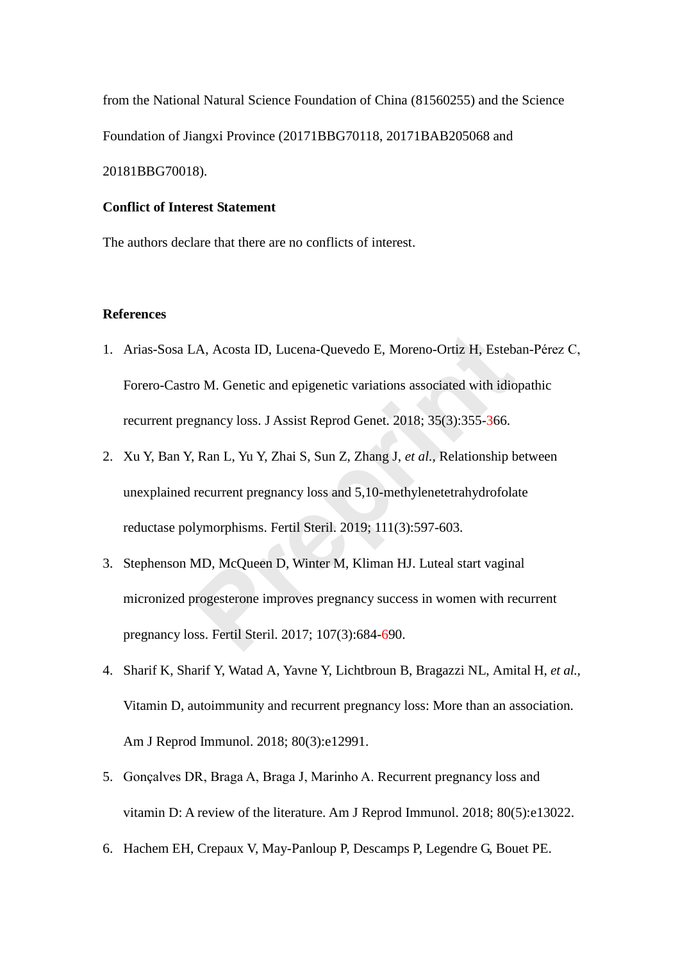from the National Natural Science Foundation of China (81560255) and the Science Foundation of Jiangxi Province (20171BBG70118, 20171BAB205068 and 20181BBG70018).

# **Conflict of Interest Statement**

The authors declare that there are no conflicts of interest.

# **References**

- 1. Arias-Sosa LA, Acosta ID, Lucena-Quevedo E, Moreno-Ortiz H, Esteban-Pérez C, Forero-Castro M. Genetic and epigenetic variations associated with idiopathic recurrent pregnancy loss. J Assist Reprod Genet. 2018; 35(3):355-366.
- 2. Xu Y, Ban Y, Ran L, Yu Y, Zhai S, Sun Z, Zhang J, *et al.,* Relationship between unexplained recurrent pregnancy loss and 5,10-methylenetetrahydrofolate reductase polymorphisms. Fertil Steril. 2019; 111(3):597-603. A, Acosta ID, Lucena-Quevedo E, Moreno-Ortiz H, Esteb<br>ro M. Genetic and epigenetic variations associated with idio<br>ggnancy loss. J Assist Reprod Genet. 2018; 35(3):355-366.<br>Frequency loss. J Assist Reprod Genet. 2018; 35(3
- 3. Stephenson MD, McQueen D, Winter M, Kliman HJ. Luteal start vaginal micronized progesterone improves pregnancy success in women with recurrent pregnancy loss. Fertil Steril. 2017; 107(3):684-690.
- 4. Sharif K, Sharif Y, Watad A, Yavne Y, Lichtbroun B, Bragazzi NL, Amital H, *et al.,*  Vitamin D, autoimmunity and recurrent pregnancy loss: More than an association. Am J Reprod Immunol. 2018; 80(3):e12991.
- 5. Gonçalves DR, Braga A, Braga J, Marinho A. Recurrent pregnancy loss and vitamin D: A review of the literature. Am J Reprod Immunol. 2018; 80(5):e13022.
- 6. Hachem EH, Crepaux V, May-Panloup P, Descamps P, Legendre G, Bouet PE.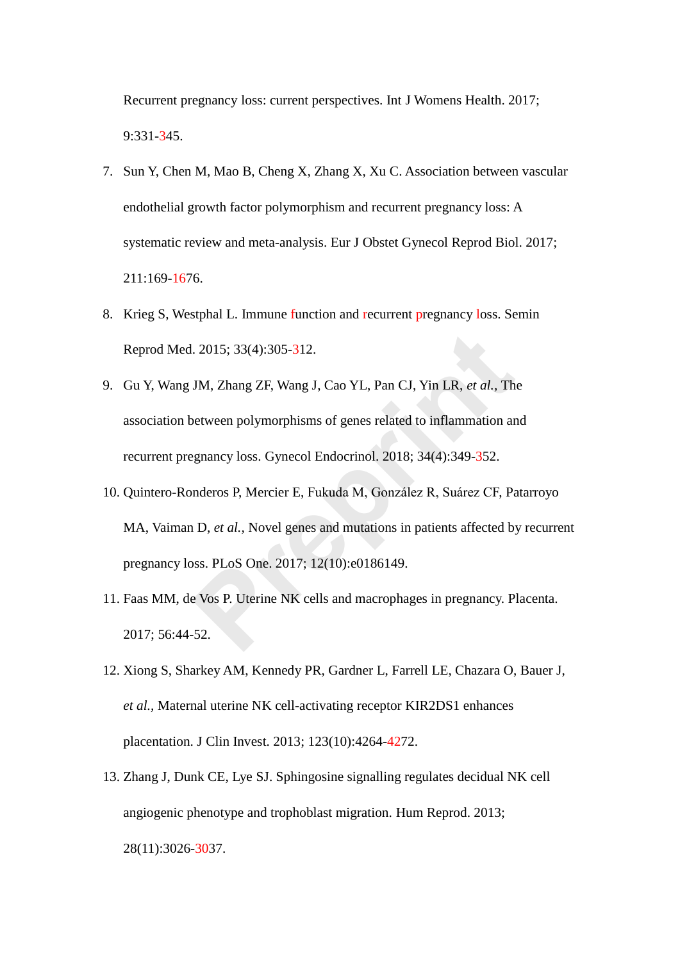Recurrent pregnancy loss: current perspectives. Int J Womens Health. 2017; 9:331-345.

- 7. Sun Y, Chen M, Mao B, Cheng X, Zhang X, Xu C. Association between vascular endothelial growth factor polymorphism and recurrent pregnancy loss: A systematic review and meta-analysis. Eur J Obstet Gynecol Reprod Biol. 2017; 211:169-1676.
- 8. Krieg S, Westphal L. Immune function and recurrent pregnancy loss. Semin Reprod Med. 2015; 33(4):305-312.
- 9. Gu Y, Wang JM, Zhang ZF, Wang J, Cao YL, Pan CJ, Yin LR, *et al.,* The association between polymorphisms of genes related to inflammation and recurrent pregnancy loss. Gynecol Endocrinol. 2018; 34(4):349-352.
- 10. Quintero-Ronderos P, Mercier E, Fukuda M, González R, Suárez CF, Patarroyo MA, Vaiman D, *et al.,* Novel genes and mutations in patients affected by recurrent pregnancy loss. PLoS One. 2017; 12(10):e0186149. 2015; 33(4):305-312.<br>
JM, Zhang ZF, Wang J, Cao YL, Pan CJ, Yin LR, *et al.*, The<br>
between polymorphisms of genes related to inflammation ar<br>
granacy loss. Gynecol Endocrinol. 2018; 34(4):349-352.<br>
nderos P, Mercier E, Fuk
- 11. Faas MM, de Vos P. Uterine NK cells and macrophages in pregnancy. Placenta. 2017; 56:44-52.
- 12. Xiong S, Sharkey AM, Kennedy PR, Gardner L, Farrell LE, Chazara O, Bauer J, *et al.,* Maternal uterine NK cell-activating receptor KIR2DS1 enhances placentation. J Clin Invest. 2013; 123(10):4264-4272.
- 13. Zhang J, Dunk CE, Lye SJ. Sphingosine signalling regulates decidual NK cell angiogenic phenotype and trophoblast migration. Hum Reprod. 2013; 28(11):3026-3037.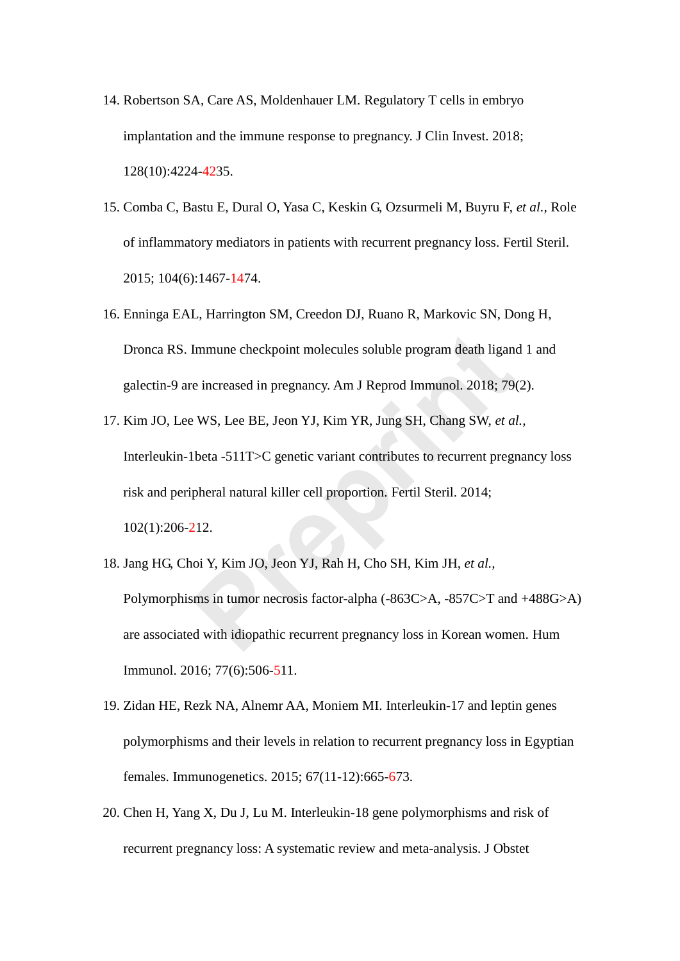- 14. Robertson SA, Care AS, Moldenhauer LM. Regulatory T cells in embryo implantation and the immune response to pregnancy. J Clin Invest. 2018; 128(10):4224-4235.
- 15. Comba C, Bastu E, Dural O, Yasa C, Keskin G, Ozsurmeli M, Buyru F, *et al.,* Role of inflammatory mediators in patients with recurrent pregnancy loss. Fertil Steril. 2015; 104(6):1467-1474.
- 16. Enninga EAL, Harrington SM, Creedon DJ, Ruano R, Markovic SN, Dong H, Dronca RS. Immune checkpoint molecules soluble program death ligand 1 and galectin-9 are increased in pregnancy. Am J Reprod Immunol. 2018; 79(2).
- 17. Kim JO, Lee WS, Lee BE, Jeon YJ, Kim YR, Jung SH, Chang SW, *et al.,* Interleukin-1beta -511T>C genetic variant contributes to recurrent pregnancy loss risk and peripheral natural killer cell proportion. Fertil Steril. 2014; 102(1):206-212. Immune checkpoint molecules soluble program death ligance increased in pregnancy. Am J Reprod Immunol. 2018; 79<br>P. WS, Lee BE, Jeon YJ, Kim YR, Jung SH, Chang SW, *et also*<br>lbeta -511T>C genetic variant contributes to recu
- 18. Jang HG, Choi Y, Kim JO, Jeon YJ, Rah H, Cho SH, Kim JH, *et al.,* Polymorphisms in tumor necrosis factor-alpha (-863C>A, -857C>T and +488G>A) are associated with idiopathic recurrent pregnancy loss in Korean women. Hum Immunol. 2016; 77(6):506-511.
- 19. Zidan HE, Rezk NA, Alnemr AA, Moniem MI. Interleukin-17 and leptin genes polymorphisms and their levels in relation to recurrent pregnancy loss in Egyptian females. Immunogenetics. 2015; 67(11-12):665-673.
- 20. Chen H, Yang X, Du J, Lu M. Interleukin-18 gene polymorphisms and risk of recurrent pregnancy loss: A systematic review and meta-analysis. J Obstet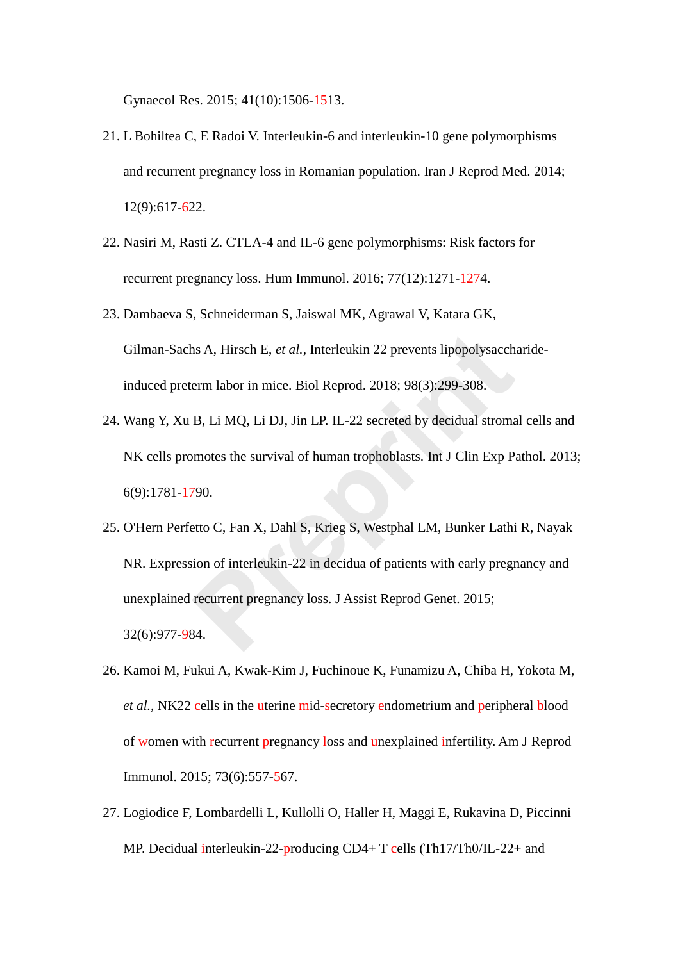Gynaecol Res. 2015; 41(10):1506-1513.

- 21. L Bohiltea C, E Radoi V. Interleukin-6 and interleukin-10 gene polymorphisms and recurrent pregnancy loss in Romanian population. Iran J Reprod Med. 2014; 12(9):617-622.
- 22. Nasiri M, Rasti Z. CTLA-4 and IL-6 gene polymorphisms: Risk factors for recurrent pregnancy loss. Hum Immunol. 2016; 77(12):1271-1274.
- 23. Dambaeva S, Schneiderman S, Jaiswal MK, Agrawal V, Katara GK, Gilman-Sachs A, Hirsch E, *et al.,* Interleukin 22 prevents lipopolysaccharideinduced preterm labor in mice. Biol Reprod. 2018; 98(3):299-308.
- 24. Wang Y, Xu B, Li MQ, Li DJ, Jin LP. IL-22 secreted by decidual stromal cells and NK cells promotes the survival of human trophoblasts. Int J Clin Exp Pathol. 2013; 6(9):1781-1790.
- 25. O'Hern Perfetto C, Fan X, Dahl S, Krieg S, Westphal LM, Bunker Lathi R, Nayak NR. Expression of interleukin-22 in decidua of patients with early pregnancy and unexplained recurrent pregnancy loss. J Assist Reprod Genet. 2015; 32(6):977-984. ns A, Hirsch E, *et al.*, Interleukin 22 prevents lipopolysacch<br>erm labor in mice. Biol Reprod. 2018; 98(3):299-308.<br>B, Li MQ, Li DJ, Jin LP. IL-22 secreted by decidual stroma<br>motes the survival of human trophoblasts. Int
- 26. Kamoi M, Fukui A, Kwak-Kim J, Fuchinoue K, Funamizu A, Chiba H, Yokota M, *et al.,* NK22 cells in the uterine mid-secretory endometrium and peripheral blood of women with recurrent pregnancy loss and unexplained infertility. Am J Reprod Immunol. 2015; 73(6):557-567.
- 27. Logiodice F, Lombardelli L, Kullolli O, Haller H, Maggi E, Rukavina D, Piccinni MP. Decidual interleukin-22-producing CD4+ T cells (Th17/Th0/IL-22+ and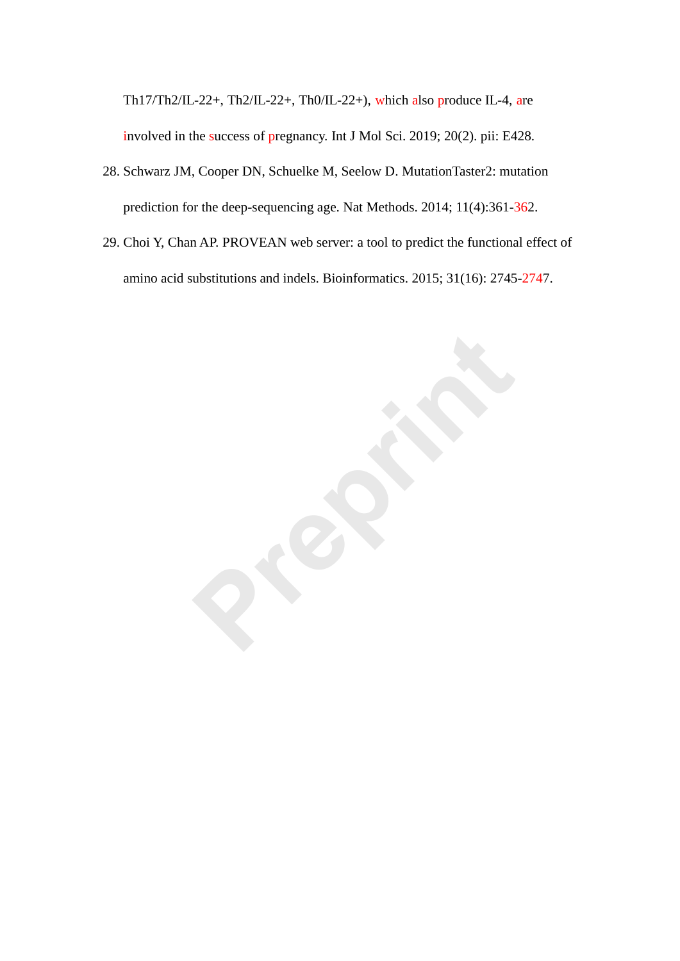Th17/Th2/IL-22+, Th2/IL-22+, Th0/IL-22+), which also produce IL-4, are involved in the success of pregnancy. Int J Mol Sci. 2019; 20(2). pii: E428.

- 28. Schwarz JM, Cooper DN, Schuelke M, Seelow D. MutationTaster2: mutation prediction for the deep-sequencing age. Nat Methods. 2014; 11(4):361-362.
- 29. Choi Y, Chan AP. PROVEAN web server: a tool to predict the functional effect of amino acid substitutions and indels. Bioinformatics. 2015; 31(16): 2745-2747.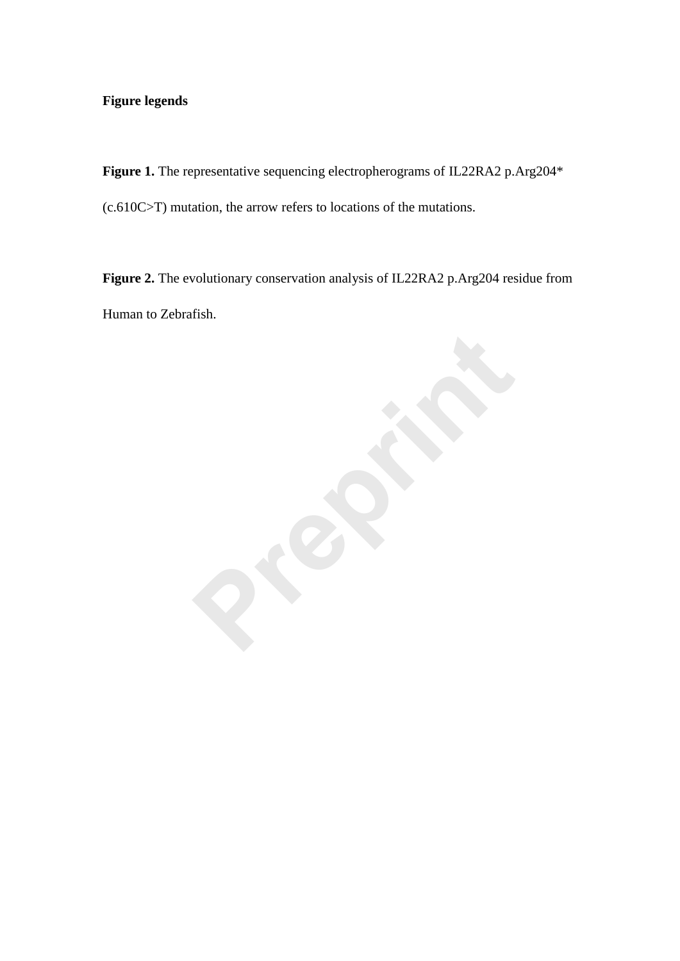# **Figure legends**

Figure 1. The representative sequencing electropherograms of IL22RA2 p.Arg204<sup>\*</sup> (c.610C>T) mutation, the arrow refers to locations of the mutations.

**Figure 2.** The evolutionary conservation analysis of IL22RA2 p.Arg204 residue from Human to Zebrafish.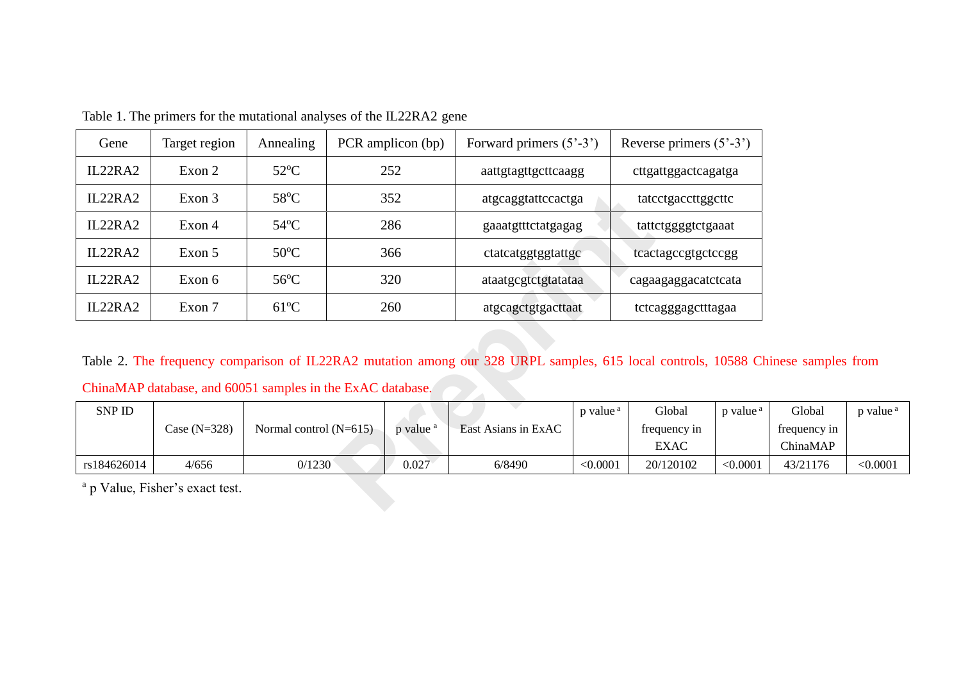| Gene                                                                                                           | Target region                              | Annealing                |     | PCR amplicon (bp)    | Forward primers $(5^{\degree} - 3^{\degree})$ |                      | Reverse primers $(5^{\degree} - 3^{\degree})$ |                      |  |  |
|----------------------------------------------------------------------------------------------------------------|--------------------------------------------|--------------------------|-----|----------------------|-----------------------------------------------|----------------------|-----------------------------------------------|----------------------|--|--|
| IL22RA2                                                                                                        | Exon 2                                     | $52^{\circ}$ C           | 252 |                      | aattgtagttgcttcaagg                           |                      | cttgattggactcagatga                           |                      |  |  |
| IL22RA2                                                                                                        | Exon 3                                     | 58°C                     | 352 |                      | atgcaggtattccactga                            |                      | tatcctgaccttggcttc                            |                      |  |  |
| IL22RA2                                                                                                        | Exon 4                                     | $54^{\circ}$ C           | 286 |                      | gaaatgtttctatgagag                            |                      | tattctggggtctgaaat                            |                      |  |  |
| IL22RA2                                                                                                        | Exon 5                                     | $50^{\circ}$ C           | 366 |                      | ctatcatggtggtattgc                            |                      | teactagecgtgeteegg                            |                      |  |  |
| IL22RA2                                                                                                        | Exon 6                                     | $56^{\circ}$ C           | 320 |                      | ataatgcgtctgtatataa                           |                      | cagaagaggacatctcata                           |                      |  |  |
| IL22RA2                                                                                                        | Exon 7                                     | $61^{\circ}$ C           |     | 260                  | atgcagctgtgacttaat                            |                      | tctcagggagctttagaa                            |                      |  |  |
| Table 2. The frequency comparison of IL22RA2 mutation among our 328 URPL samples, 615 local controls, 10588 Cl |                                            |                          |     |                      |                                               |                      |                                               |                      |  |  |
| ChinaMAP database, and 60051 samples in the ExAC database.                                                     |                                            |                          |     |                      |                                               |                      |                                               |                      |  |  |
| SNP ID                                                                                                         | Case $(N=328)$                             | Normal control $(N=615)$ |     | p value <sup>a</sup> | East Asians in ExAC                           | p value <sup>a</sup> | Global<br>frequency in<br><b>EXAC</b>         | p value <sup>a</sup> |  |  |
| rs184626014                                                                                                    | 4/656                                      | 0/1230                   |     | 0.027                | 6/8490                                        | < 0.0001             | 20/120102                                     | < 0.0001             |  |  |
|                                                                                                                | <sup>a</sup> p Value, Fisher's exact test. |                          |     |                      |                                               |                      |                                               |                      |  |  |

Table 1. The primers for the mutational analyses of the IL22RA2 gene

Table 2. The frequency comparison of IL22RA2 mutation among our 328 URPL samples, 615 local controls, 10588 Chinese samples from

| <b>SNP ID</b> |                |                          |                      |                     | p value <sup>a</sup> | Global       | p value <sup>a</sup> | Global       | p value <sup>a</sup> |  |
|---------------|----------------|--------------------------|----------------------|---------------------|----------------------|--------------|----------------------|--------------|----------------------|--|
|               | Case $(N=328)$ | Normal control $(N=615)$ | p value <sup>3</sup> | East Asians in ExAC |                      | frequency in |                      | frequency in |                      |  |
|               |                |                          |                      |                     |                      | <b>EXAC</b>  |                      | ChinaMAP     |                      |  |
| rs184626014   | 4/656          | 0/1230                   | 0.027                | 6/8490              | $< \!\! 0.0001$      | 20/120102    | < 0.0001             | 43/21176     | < 0.0001             |  |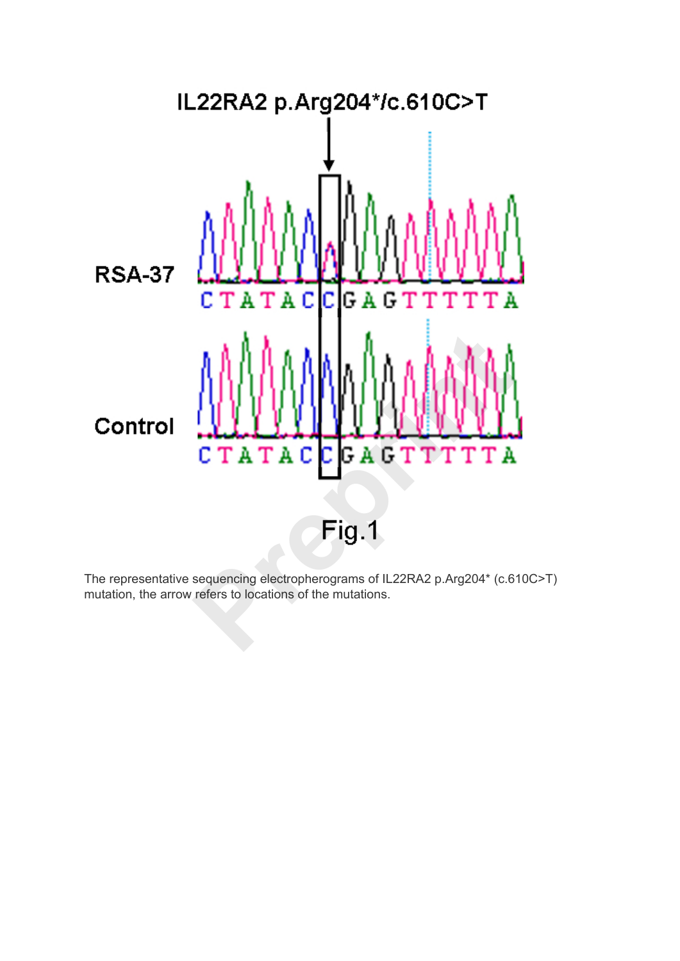

The representative sequencing electropherograms of IL22RA2 p.Arg204\* (c.610C>T) mutation, the arrow refers to locations of the mutations.